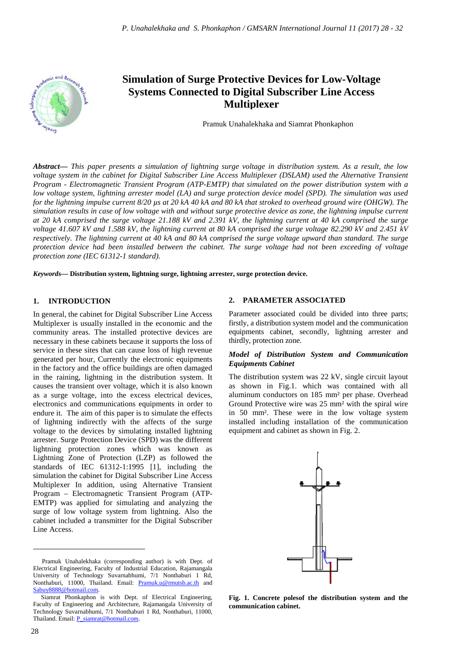

# **Simulation of Surge Protective Devices for Low-Voltage Systems Connected to Digital Subscriber Line Access Multiplexer**

Pramuk Unahalekhaka and Siamrat Phonkaphon

*Abstract***—** *This paper presents a simulation of lightning surge voltage in distribution system. As a result, the low voltage system in the cabinet for Digital Subscriber Line Access Multiplexer (DSLAM) used the Alternative Transient Program - Electromagnetic Transient Program (ATP-EMTP) that simulated on the power distribution system with a low voltage system, lightning arrester model (LA) and surge protection device model (SPD). The simulation was used for the lightning impulse current 8/20 µs at 20 kA 40 kA and 80 kA that stroked to overhead ground wire (OHGW). The simulation results in case of low voltage with and without surge protective device as zone, the lightning impulse current at 20 kA comprised the surge voltage 21.188 kV and 2.391 kV, the lightning current at 40 kA comprised the surge voltage 41.607 kV and 1.588 kV, the lightning current at 80 kA comprised the surge voltage 82.290 kV and 2.451 kV respectively. The lightning current at 40 kA and 80 kA comprised the surge voltage upward than standard. The surge protection device had been installed between the cabinet. The surge voltage had not been exceeding of voltage protection zone (IEC 61312-1 standard).*

*Keywords***— Distribution system, lightning surge, lightning arrester, surge protection device.**

#### **1. INTRODUCTION**

In general, the cabinet for Digital Subscriber Line Access Multiplexer is usually installed in the economic and the community areas. The installed protective devices are necessary in these cabinets because it supports the loss of service in these sites that can cause loss of high revenue generated per hour, Currently the electronic equipments in the factory and the office buildings are often damaged in the raining, lightning in the distribution system. It causes the transient over voltage, which it is also known as a surge voltage, into the excess electrical devices, electronics and communications equipments in order to endure it. The aim of this paper is to simulate the effects of lightning indirectly with the affects of the surge voltage to the devices by simulating installed lightning arrester. Surge Protection Device (SPD) was the different lightning protection zones which was known as Lightning Zone of Protection (LZP) as followed the standards of IEC 61312-1:1995 [1], including the simulation the cabinet for Digital Subscriber Line Access Multiplexer In addition, using Alternative Transient Program – Electromagnetic Transient Program (ATP-EMTP) was applied for simulating and analyzing the surge of low voltage system from lightning. Also the cabinet included a transmitter for the Digital Subscriber Line Access.

### **2. PARAMETER ASSOCIATED**

Parameter associated could be divided into three parts; firstly, a distribution system model and the communication equipments cabinet, secondly, lightning arrester and thirdly, protection zone.

### *Model of Distribution System and Communication Equipments Cabinet*

The distribution system was 22 kV, single circuit layout as shown in Fig.1. which was contained with all aluminum conductors on 185 mm² per phase. Overhead Ground Protective wire was 25 mm² with the spiral wire in 50 mm². These were in the low voltage system installed including installation of the communication equipment and cabinet as shown in Fig. 2.



**Fig. 1. Concrete polesof the distribution system and the communication cabinet.** 

 $\overline{a}$ 

Pramuk Unahalekhaka (corresponding author) is with Dept. of Electrical Engineering, Faculty of Industrial Education, Rajamangala University of Technology Suvarnabhumi, 7/1 Nonthaburi 1 Rd, Nonthaburi, 11000, Thailand. Email: Pramuk.u@rmutsb.ac.th and Sabuy8888@hotmail.com.

Siamrat Phonkaphon is with Dept. of Electrical Engineering, Faculty of Engineering and Architecture, Rajamangala University of Technology Suvarnabhumi, 7/1 Nonthaburi 1 Rd, Nonthaburi, 11000, Thailand. Email: P\_siamrat@hotmail.com.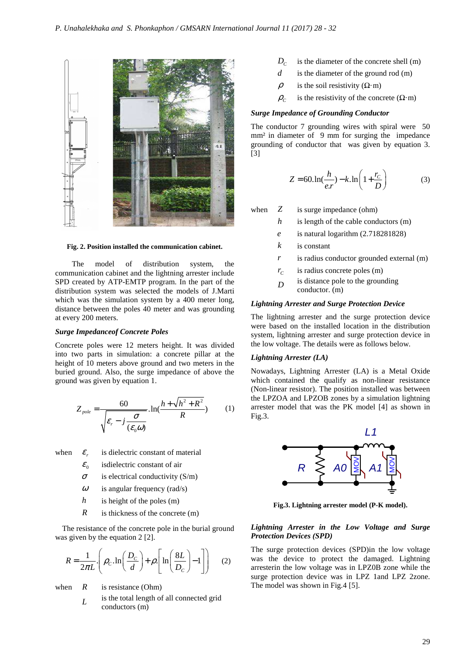

**Fig. 2. Position installed the communication cabinet.** 

 The model of distribution system, the communication cabinet and the lightning arrester include SPD created by ATP-EMTP program. In the part of the distribution system was selected the models of J.Marti which was the simulation system by a 400 meter long, distance between the poles 40 meter and was grounding at every 200 meters.

### *Surge Impedanceof Concrete Poles*

Concrete poles were 12 meters height. It was divided into two parts in simulation: a concrete pillar at the height of 10 meters above ground and two meters in the buried ground. Also, the surge impedance of above the ground was given by equation 1.

$$
Z_{pole} = \frac{60}{\sqrt{\varepsilon_r - j\frac{\sigma}{(\varepsilon_0 \omega)}}} \cdot \ln(\frac{h + \sqrt{h^2 + R^2}}{R}) \qquad (1)
$$

when  $\varepsilon$ . is dielectric constant of material

- $\mathcal{E}_0$ isdielectric constant of air
- $\sigma$  is electrical conductivity (S/m)
- $\omega$  is angular frequency (rad/s)
- *h* is height of the poles (m)
- *R* is thickness of the concrete (m)

The resistance of the concrete pole in the burial ground was given by the equation 2 [2].

$$
R = \frac{1}{2\pi L} \left( \rho_c \ln \left( \frac{D_c}{d} \right) + \rho \left[ \ln \left( \frac{8L}{D_c} \right) - 1 \right] \right) \tag{2}
$$

when  $R$  is resistance (Ohm)

*L* is the total length of all connected grid conductors (m)

- $D_c$ is the diameter of the concrete shell (m)
- *d* is the diameter of the ground rod (m)
- $ρ$  is the soil resistivity (Ω·m)
- $\rho_c$ is the resistivity of the concrete  $(\Omega \cdot m)$

#### *Surge Impedance of Grounding Conductor*

The conductor 7 grounding wires with spiral were 50 mm<sup>2</sup> in diameter of 9 mm for surging the impedance grounding of conductor that was given by equation 3. [3]

$$
Z = 60 \cdot \ln(\frac{h}{e \cdot r}) - k \cdot \ln\left(1 + \frac{r_c}{D}\right) \tag{3}
$$

when *Z* is surge impedance (ohm)

- *h* is length of the cable conductors (m)
- *e* is natural logarithm (2.718281828)
- *k* is constant
- *r* is radius conductor grounded external (m)
- $r_c$ *is radius concrete poles (m)*
- *D* is distance pole to the grounding conductor. (m)

### *Lightning Arrester and Surge Protection Device*

The lightning arrester and the surge protection device were based on the installed location in the distribution system, lightning arrester and surge protection device in the low voltage. The details were as follows below.

#### *Lightning Arrester (LA)*

Nowadays, Lightning Arrester (LA) is a Metal Oxide which contained the qualify as non-linear resistance (Non-linear resistor). The position installed was between the LPZOA and LPZOB zones by a simulation lightning arrester model that was the PK model [4] as shown in Fig.3.



**Fig.3. Lightning arrester model (P-K model).** 

### *Lightning Arrester in the Low Voltage and Surge Protection Devices (SPD)*

The surge protection devices (SPD)in the low voltage was the device to protect the damaged. Lightning arresterin the low voltage was in LPZ0B zone while the surge protection device was in LPZ 1 and LPZ 2 zone. The model was shown in Fig.4 [5].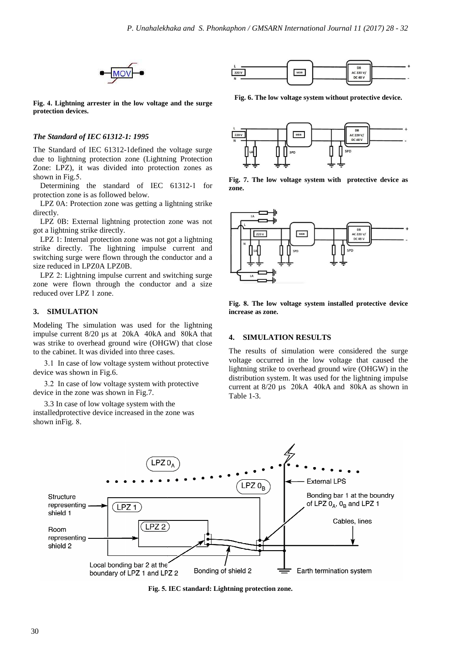

**Fig. 4. Lightning arrester in the low voltage and the surge protection devices.** 

## *The Standard of IEC 61312-1: 1995*

The Standard of IEC 61312-1defined the voltage surge due to lightning protection zone (Lightning Protection Zone: LPZ), it was divided into protection zones as shown in Fig.5.

Determining the standard of IEC 61312-1 for protection zone is as followed below.

LPZ 0A: Protection zone was getting a lightning strike directly.

LPZ 0B: External lightning protection zone was not got a lightning strike directly.

LPZ 1: Internal protection zone was not got a lightning strike directly. The lightning impulse current and switching surge were flown through the conductor and a size reduced in LPZ0A LPZ0B.

LPZ 2: Lightning impulse current and switching surge zone were flown through the conductor and a size reduced over LPZ 1 zone.

### **3. SIMULATION**

Modeling The simulation was used for the lightning impulse current 8/20 µs at 20kA 40kA and 80kA that was strike to overhead ground wire (OHGW) that close to the cabinet. It was divided into three cases.

3.1 In case of low voltage system without protective device was shown in Fig.6.

3.2 In case of low voltage system with protective device in the zone was shown in Fig.7.

3.3 In case of low voltage system with the installed protective device increased in the zone was shown inFig. 8.



**Fig. 6. The low voltage system without protective device device.** 



**Fig. 7. The low voltage system with protective device as zone.** 



**Fig. 8. The low voltage system installed protective device increase as zone.** 

### **4. SIMULATION RESULTS**

The results of simulation were considered the surge voltage occurred in the low voltage that caused the lightning strike to overhead ground wire (OHGW) in the distribution system. It was used for the lightning impulse current at  $8/20 \mu s$  20kA 40kA and 80kA as shown in Table 1-3.



Fig. 5. IEC standard: Lightning protection zone.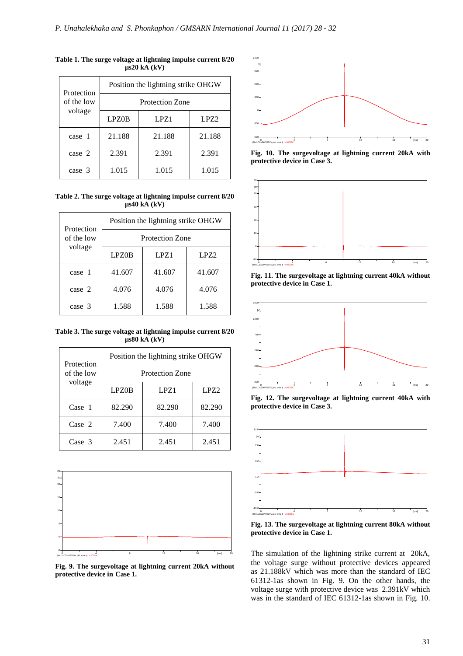| Protection<br>of the low<br>voltage | Position the lightning strike OHGW |        |                  |  |
|-------------------------------------|------------------------------------|--------|------------------|--|
|                                     | Protection Zone                    |        |                  |  |
|                                     | <b>LPZ0B</b>                       | LPZ1   | LPZ <sub>2</sub> |  |
| case 1                              | 21.188                             | 21.188 | 21.188           |  |
| case 2                              | 2.391                              | 2.391  | 2.391            |  |
| case 3                              | 1.015                              | 1.015  | 1.015            |  |

**Table 1. The surge voltage at lightning impulse current 8/20 µs20 kA (kV)**

**Table 2. The surge voltage at lightning impulse current 8/20 µs40 kA (kV)**

| Protection<br>of the low<br>voltage | Position the lightning strike OHGW |        |                  |  |
|-------------------------------------|------------------------------------|--------|------------------|--|
|                                     | Protection Zone                    |        |                  |  |
|                                     | LPZ0B                              | LPZ1   | LPZ <sub>2</sub> |  |
| case 1                              | 41.607                             | 41.607 | 41.607           |  |
| case 2                              | 4.076                              | 4.076  | 4.076            |  |
| case 3                              | 1.588                              | 1.588  | 1.588            |  |

**Table 3. The surge voltage at lightning impulse current 8/20 µs80 kA (kV)**

| Protection<br>of the low<br>voltage | Position the lightning strike OHGW |        |                  |  |
|-------------------------------------|------------------------------------|--------|------------------|--|
|                                     | <b>Protection Zone</b>             |        |                  |  |
|                                     | LPZ0B                              | LPZ1   | LPZ <sub>2</sub> |  |
| Case 1                              | 82.290                             | 82.290 | 82.290           |  |
| Case 2                              | 7.400                              | 7.400  | 7.400            |  |
| Case 3                              | 2.451                              | 2.451  | 2.451            |  |



**Fig. 9. The surgevoltage at lightning current 20kA without protective device in Case 1.** 



Fig. 10. The surgevoltage at lightning current 20kA with **protective device in Case 3.** 



**Fig. 11. The surgevoltage at lightning current 40kA without protective device in Case 1.** 



**Fig. 12. The surgevoltage at lightning current 40kA with protective device in Case 3.** 



**Fig. 13. The surgevoltage at lightning current 80kA without protective device in Case 1.** 

The simulation of the lightning strike current at 20kA, the voltage surge without protective devices appeared as 21.188kV which was more than the standard of IEC 61312-1as shown in Fig. 9. On the other hands, the voltage surge with protective device was 2.391kV which was in the standard of IEC 61312-1as shown in Fig. 10.